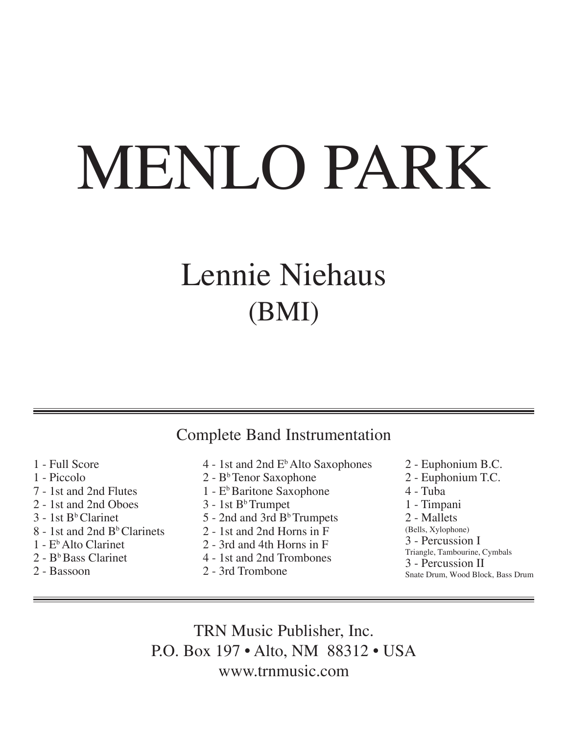# MENLO PARK

## Lennie Niehaus (BMI)

### Complete Band Instrumentation

- 1 Full Score
- 1 Piccolo
- 7 1st and 2nd Flutes
- 2 1st and 2nd Oboes
- $3 1$ st B<sup>b</sup>Clarinet
- 8 1st and 2nd B<sup>b</sup> Clarinets
- 1 EbAlto Clarinet
- $2 B<sup>b</sup>$  Bass Clarinet
- 2 Bassoon
- $4 1$ st and  $2$ nd  $E<sup>b</sup>$  Alto Saxophones
- 2 B<sup>b</sup>Tenor Saxophone
- 1 E<sup>b</sup>Baritone Saxophone
- $3 1$ st B<sup>b</sup>Trumpet
- 5 2nd and 3rd B<sup>b</sup>Trumpets
- 2 1st and 2nd Horns in F
- 2 3rd and 4th Horns in F
- 4 1st and 2nd Trombones
- 2 3rd Trombone
- 2 Euphonium B.C.
- 2 Euphonium T.C.
- 4 Tuba
- 1 Timpani
- 2 Mallets
- (Bells, Xylophone)
- 3 Percussion I
- Triangle, Tambourine, Cymbals
- 3 Percussion II
- Snate Drum, Wood Block, Bass Drum

TRN Music Publisher, Inc. P.O. Box 197 • Alto, NM 88312 • USA www.trnmusic.com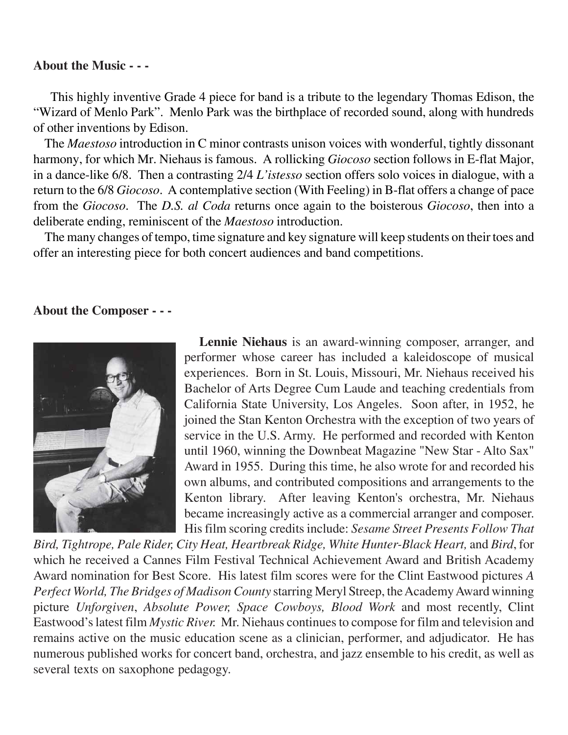#### **About the Music - - -**

This highly inventive Grade 4 piece for band is a tribute to the legendary Thomas Edison, the "Wizard of Menlo Park". Menlo Park was the birthplace of recorded sound, along with hundreds of other inventions by Edison.

 The *Maestoso* introduction in C minor contrasts unison voices with wonderful, tightly dissonant harmony, for which Mr. Niehaus is famous. A rollicking *Giocoso* section follows in E-flat Major, in a dance-like 6/8. Then a contrasting 2/4 *L'istesso* section offers solo voices in dialogue, with a return to the 6/8 *Giocoso*. A contemplative section (With Feeling) in B-flat offers a change of pace from the *Giocoso*. The *D.S. al Coda* returns once again to the boisterous *Giocoso*, then into a deliberate ending, reminiscent of the *Maestoso* introduction.

 The many changes of tempo, time signature and key signature will keep students on their toes and offer an interesting piece for both concert audiences and band competitions.

#### **About the Composer - - -**



 **Lennie Niehaus** is an award-winning composer, arranger, and performer whose career has included a kaleidoscope of musical experiences. Born in St. Louis, Missouri, Mr. Niehaus received his Bachelor of Arts Degree Cum Laude and teaching credentials from California State University, Los Angeles. Soon after, in 1952, he joined the Stan Kenton Orchestra with the exception of two years of service in the U.S. Army. He performed and recorded with Kenton until 1960, winning the Downbeat Magazine "New Star - Alto Sax" Award in 1955. During this time, he also wrote for and recorded his own albums, and contributed compositions and arrangements to the Kenton library. After leaving Kenton's orchestra, Mr. Niehaus became increasingly active as a commercial arranger and composer. His film scoring credits include: *Sesame Street Presents Follow That*

*Bird, Tightrope, Pale Rider, City Heat, Heartbreak Ridge, White Hunter-Black Heart,* and *Bird*, for which he received a Cannes Film Festival Technical Achievement Award and British Academy Award nomination for Best Score. His latest film scores were for the Clint Eastwood pictures *A Perfect World, The Bridges of Madison County* starring Meryl Streep, the Academy Award winning picture *Unforgiven*, *Absolute Power, Space Cowboys, Blood Work* and most recently, Clint Eastwood's latest film *Mystic River.* Mr. Niehaus continues to compose for film and television and remains active on the music education scene as a clinician, performer, and adjudicator. He has numerous published works for concert band, orchestra, and jazz ensemble to his credit, as well as several texts on saxophone pedagogy.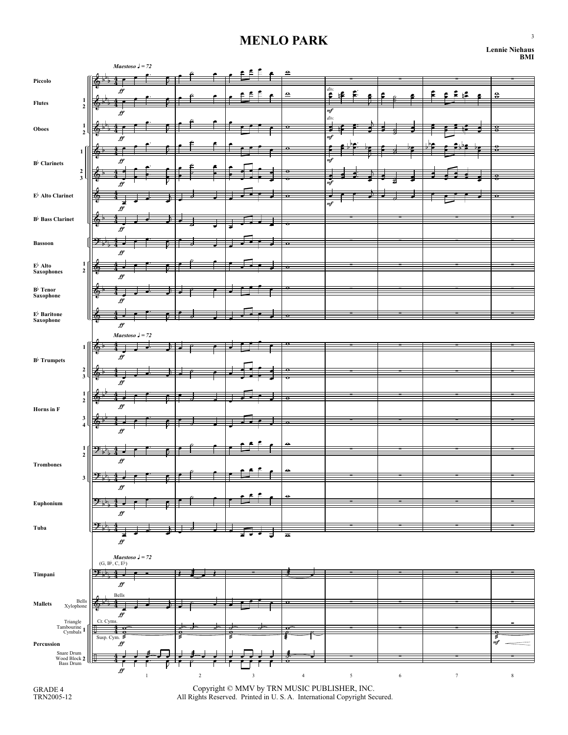#### **MENLO PARK**

| <b>Lennie Niehaus</b> | RMI |
|-----------------------|-----|
|-----------------------|-----|

|                                                                    |                  | Maestoso $J = 72$                                                                    |         |            |            | ≘                       |                                           |            |        |                      |
|--------------------------------------------------------------------|------------------|--------------------------------------------------------------------------------------|---------|------------|------------|-------------------------|-------------------------------------------|------------|--------|----------------------|
| Piccolo                                                            |                  |                                                                                      |         |            |            |                         |                                           |            |        |                      |
|                                                                    |                  |                                                                                      |         |            |            | ≘                       | $\begin{array}{c} div. \end{array}$<br>۱Ŝ |            |        | $\bf{a}$             |
| $\frac{1}{2}$<br><b>Flutes</b>                                     |                  | ff                                                                                   |         |            |            |                         | mf                                        |            |        |                      |
| 1<br><b>Oboes</b><br>$\overline{2}$                                |                  |                                                                                      |         |            |            | $\bullet$               | $div$                                     |            |        | o                    |
|                                                                    |                  |                                                                                      |         |            |            |                         | mf                                        |            |        |                      |
| $\mathbf{1}$<br>$B^{\flat}$ Clarinets<br>$\frac{2}{3}$             |                  |                                                                                      |         |            |            |                         | m)                                        |            |        |                      |
|                                                                    |                  | ∯                                                                                    |         |            |            |                         |                                           |            |        |                      |
|                                                                    |                  |                                                                                      |         |            |            |                         | mf                                        |            |        |                      |
| $\mathbf{E}^\flat$ Alto Clarinet                                   |                  |                                                                                      |         |            |            | $\sigma$                | mf                                        |            |        |                      |
| $\mathbf{B}^{\flat}$ Bass Clarinet                                 | т.               | ∯                                                                                    |         |            |            |                         |                                           |            |        |                      |
|                                                                    |                  | ∯                                                                                    |         |            |            |                         |                                           |            |        |                      |
| <b>Bassoon</b>                                                     | <del>∶</del>     |                                                                                      |         |            |            | o                       |                                           |            |        |                      |
|                                                                    |                  | $f\hspace{-0.1cm}f$                                                                  |         |            |            |                         |                                           |            |        |                      |
| $\frac{1}{2}$<br>E♭ Alto<br>Saxophones                             |                  | $f\hspace{-0.1cm}f$                                                                  |         |            |            | $\overline{\mathbf{r}}$ |                                           |            |        |                      |
| B♭ Tenor<br>Saxophone                                              | l Q,             |                                                                                      |         |            |            | e                       |                                           |            |        |                      |
|                                                                    |                  | ff                                                                                   |         |            |            |                         |                                           |            |        |                      |
| $\mathbf{E}^{\flat}$ Baritone<br>Saxophone                         |                  | $\pmb{\mathcal{F}}$                                                                  |         |            |            |                         |                                           |            |        |                      |
|                                                                    |                  | Maestoso $J = 72$                                                                    |         |            |            |                         |                                           |            |        |                      |
| 1<br>$B^{\flat}$ Trumpets<br>$\frac{2}{3}$                         | ௯                | fi                                                                                   |         |            |            |                         |                                           |            |        |                      |
|                                                                    |                  |                                                                                      |         |            |            |                         |                                           |            |        |                      |
|                                                                    |                  | ff                                                                                   |         |            |            |                         |                                           |            |        |                      |
| $\mathbf{1}$<br>$\overline{2}$<br>Horns in F                       |                  |                                                                                      |         |            |            | ≏                       |                                           |            |        |                      |
|                                                                    |                  | ff                                                                                   |         |            |            |                         |                                           |            |        |                      |
| $\frac{3}{4}$                                                      |                  | $f\hspace{-0.8mm}f\hspace{-0.8mm}f$                                                  |         |            |            |                         |                                           |            |        |                      |
|                                                                    |                  |                                                                                      |         |            |            | ۰                       |                                           |            |        |                      |
| $\mathbf{1}$<br>$\overline{2}$<br><b>Trombones</b><br>$\mathbf{3}$ | ط⊤و⊖             | ff                                                                                   |         |            |            |                         |                                           |            |        |                      |
|                                                                    | l <del>o∷⊾</del> |                                                                                      |         |            |            | ۰                       |                                           |            |        |                      |
|                                                                    |                  | $f\hspace{-0.8mm}f$                                                                  |         |            |            |                         |                                           |            |        |                      |
| Euphonium                                                          |                  |                                                                                      |         |            |            |                         |                                           |            |        |                      |
| Tuba                                                               |                  | $f\hspace{-0.1cm}f$                                                                  |         |            |            |                         |                                           |            |        |                      |
|                                                                    | $\rightarrow$    |                                                                                      |         |            |            | $\overline{\bullet}$    |                                           |            |        |                      |
|                                                                    |                  | $f\hspace{-0.1cm}f$                                                                  |         |            |            |                         |                                           |            |        |                      |
|                                                                    |                  | Maestoso $J = 72$<br>$(\mathbf{G},\mathbf{B}^{\flat},\mathbf{C},\mathbf{E}^{\flat})$ |         |            |            |                         |                                           |            |        |                      |
| Timpani                                                            |                  | $f\hspace{-0.1cm}f$                                                                  |         |            |            |                         |                                           |            |        |                      |
|                                                                    |                  | Bells                                                                                |         |            |            |                         |                                           |            |        |                      |
| Bells<br>Xylophone<br><b>Mallets</b>                               |                  | $\dot{H}$                                                                            |         |            |            |                         |                                           |            |        |                      |
| Triangle<br>Tambourine<br>Cymbals 1                                | Cr. Cyms.        |                                                                                      |         |            |            |                         |                                           |            |        |                      |
| Percussion                                                         |                  | Susp. Cym. $≤$<br>$f\hspace{-0.1cm}f$                                                |         |            | ź          |                         |                                           |            |        | $\frac{\epsilon}{m}$ |
| Snare Drum<br>Wood Block 2<br>Bass Drum                            | ЩË               |                                                                                      |         |            |            |                         |                                           |            |        |                      |
|                                                                    |                  | $\dot{\mathcal{H}}$                                                                  |         |            |            |                         |                                           |            |        |                      |
|                                                                    |                  |                                                                                      | $\,1\,$ | $\sqrt{2}$ | $\sqrt{3}$ | $\overline{4}$          | $\sqrt{5}$                                | $\sqrt{6}$ | $\tau$ | $\,$ 8 $\,$          |

Copyright © MMV by TRN MUSIC PUBLISHER, INC. All Rights Reserved. Printed in U. S. A. International Copyright Secured.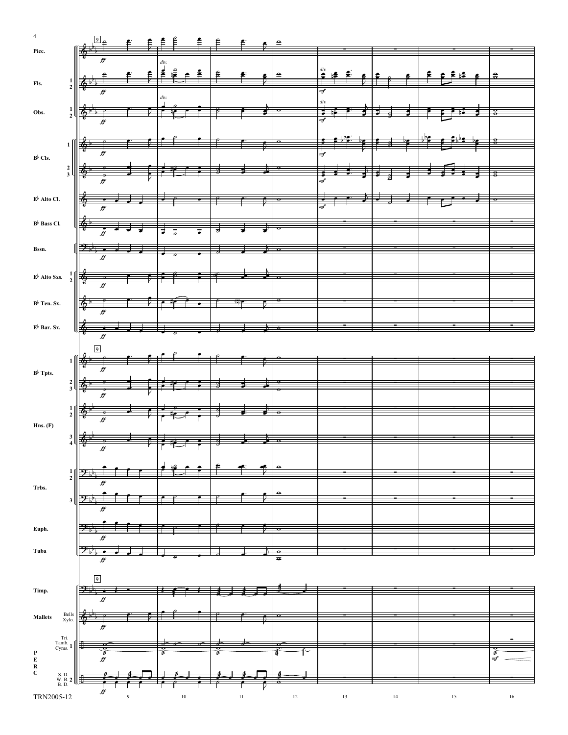